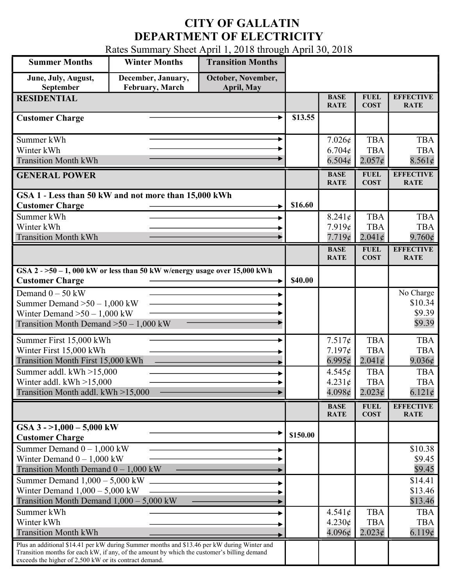## CITY OF GALLATIN DEPARTMENT OF ELECTRICITY

Rates Summary Sheet April 1, 2018 through April 30, 2018

| <b>Summer Months</b>                                                                                                                                                                                                                                 | <b>Winter Months</b>                         | <b>Transition Months</b>         |                            |                                                       |                                             |                                             |
|------------------------------------------------------------------------------------------------------------------------------------------------------------------------------------------------------------------------------------------------------|----------------------------------------------|----------------------------------|----------------------------|-------------------------------------------------------|---------------------------------------------|---------------------------------------------|
| June, July, August,<br>September                                                                                                                                                                                                                     | December, January,<br><b>February, March</b> | October, November,<br>April, May |                            |                                                       |                                             |                                             |
| <b>RESIDENTIAL</b>                                                                                                                                                                                                                                   |                                              |                                  |                            | <b>BASE</b><br><b>RATE</b>                            | <b>FUEL</b><br><b>COST</b>                  | <b>EFFECTIVE</b><br><b>RATE</b>             |
| <b>Customer Charge</b>                                                                                                                                                                                                                               |                                              |                                  |                            |                                                       |                                             |                                             |
| Summer kWh<br>Winter kWh<br><b>Transition Month kWh</b>                                                                                                                                                                                              |                                              |                                  |                            | $7.026\epsilon$<br>$6.704\epsilon$<br>6.504¢          | <b>TBA</b><br><b>TBA</b><br>$2.057\epsilon$ | <b>TBA</b><br><b>TBA</b><br>8.561¢          |
| <b>GENERAL POWER</b>                                                                                                                                                                                                                                 |                                              | <b>BASE</b><br><b>RATE</b>       | <b>FUEL</b><br><b>COST</b> | <b>EFFECTIVE</b><br><b>RATE</b>                       |                                             |                                             |
| GSA 1 - Less than 50 kW and not more than 15,000 kWh<br><b>Customer Charge</b>                                                                                                                                                                       |                                              |                                  |                            |                                                       |                                             |                                             |
| Summer kWh<br>Winter kWh<br><b>Transition Month kWh</b>                                                                                                                                                                                              |                                              |                                  |                            | $8.241\epsilon$<br>7.919¢<br>7.719¢                   | <b>TBA</b><br><b>TBA</b><br>$2.041\epsilon$ | <b>TBA</b><br><b>TBA</b><br>$9.760\epsilon$ |
|                                                                                                                                                                                                                                                      |                                              |                                  |                            | <b>BASE</b><br><b>RATE</b>                            | <b>FUEL</b><br><b>COST</b>                  | <b>EFFECTIVE</b><br><b>RATE</b>             |
| $\overline{GSA2}$ ->50 - 1,000 kW or less than 50 kW w/energy usage over 15,000 kWh<br><b>Customer Charge</b>                                                                                                                                        |                                              |                                  |                            |                                                       |                                             |                                             |
| Demand $0 - 50$ kW<br>Summer Demand $>50 - 1,000$ kW<br>Winter Demand $>50 - 1,000$ kW<br>Transition Month Demand $>50-1,000$ kW                                                                                                                     |                                              |                                  |                            |                                                       |                                             | No Charge<br>\$10.34<br>\$9.39<br>\$9.39    |
| Summer First 15,000 kWh<br>Winter First 15,000 kWh<br>Transition Month First 15,000 kWh                                                                                                                                                              |                                              |                                  |                            | 7.517¢<br>$7.197\epsilon$<br>$6.995\phi$              | <b>TBA</b><br><b>TBA</b><br>$2.041\epsilon$ | <b>TBA</b><br><b>TBA</b><br>9.036¢          |
| Summer addl. $kWh > 15,000$<br>Winter addl. $kWh > 15,000$<br>Transition Month addl. kWh >15,000                                                                                                                                                     |                                              |                                  |                            | $4.545\epsilon$<br>$4.231\epsilon$<br>$4.098\epsilon$ | <b>TBA</b><br><b>TBA</b><br>$2.023\epsilon$ | <b>TBA</b><br><b>TBA</b><br>$6.121\phi$     |
|                                                                                                                                                                                                                                                      |                                              |                                  |                            | <b>BASE</b><br><b>RATE</b>                            | <b>FUEL</b><br><b>COST</b>                  | <b>EFFECTIVE</b><br><b>RATE</b>             |
| GSA $3 - 1,000 - 5,000$ kW<br><b>Customer Charge</b>                                                                                                                                                                                                 |                                              |                                  | \$150.00                   |                                                       |                                             |                                             |
| Summer Demand $0 - 1,000$ kW<br>Winter Demand $0 - 1,000$ kW<br>Transition Month Demand $0 - 1,000$ kW                                                                                                                                               |                                              |                                  |                            |                                                       |                                             | \$10.38<br>\$9.45<br>\$9.45                 |
| Summer Demand $1,000 - 5,000$ kW<br>Winter Demand $1,000 - 5,000$ kW<br>Transition Month Demand 1,000 - 5,000 kW                                                                                                                                     |                                              |                                  |                            |                                                       |                                             | \$14.41<br>\$13.46<br>\$13.46               |
| Summer kWh<br>Winter kWh<br><b>Transition Month kWh</b>                                                                                                                                                                                              |                                              |                                  |                            | $4.541\epsilon$<br>$4.230\epsilon$<br>$4.096\epsilon$ | <b>TBA</b><br><b>TBA</b><br>2.023¢          | <b>TBA</b><br><b>TBA</b><br>6.119¢          |
| Plus an additional \$14.41 per kW during Summer months and \$13.46 per kW during Winter and<br>Transition months for each kW, if any, of the amount by which the customer's billing demand<br>exceeds the higher of 2,500 kW or its contract demand. |                                              |                                  |                            |                                                       |                                             |                                             |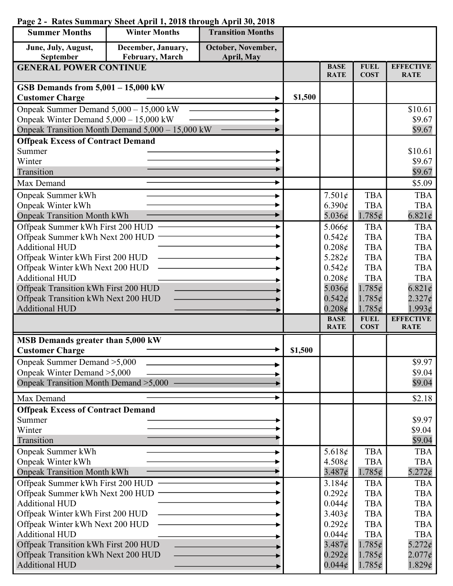## Summer Months Winter Months Transition Months June, July, August, September December, January, February, March October, November, April, May GENERAL POWER CONTINUE BASE **RATE FUEL COST EFFECTIVE RATE** GSB Demands from 5,001 – 15,000 kW Customer Charge  $\qquad \qquad \longrightarrow \qquad$  \$1,500 Onpeak Summer Demand 5,000 – 15,000 kW Onpeak Winter Demand 5,000 – 15,000 kW Onpeak Transition Month Demand 5,000 – 15,000 kW \$10.61 \$9.67 \$9.67 Offpeak Excess of Contract Demand Summer Winter Transition \$10.61 \$9.67 \$9.67 Max Demand  $\sim$   $\sim$  55.09 Onpeak Summer kWh Onpeak Winter kWh Onpeak Transition Month kWh 7.501¢  $6.390c$ 5.036¢ TBA **TBA** 1.785¢ TBA **TBA**  $6.821\epsilon$ Offpeak Summer kWh First 200 HUD Offpeak Summer kWh Next 200 HUD Additional HUD Offpeak Winter kWh First 200 HUD Offpeak Winter kWh Next 200 HUD Additional HUD Offpeak Transition kWh First 200 HUD Offpeak Transition kWh Next 200 HUD Additional HUD 5.066¢  $0.542\epsilon$  $0.208\epsilon$ 5.282¢  $0.542\epsilon$ 0.208¢ 5.036¢  $0.542c$  $0.208c$ TBA TBA TBA TBA TBA TBA 1.785¢ 1.785¢ 1.785¢ TBA TBA TBA TBA TBA TBA 6.821¢  $2.327<sub>¢</sub>$ 1.993¢ **BASE RATE FUEL COST EFFECTIVE RATE** MSB Demands greater than 5,000 kW Customer Charge  $\qquad \qquad \longrightarrow \qquad$  \$1,500 Onpeak Summer Demand >5,000 Onpeak Winter Demand >5,000 Onpeak Transition Month Demand >5,000 \$9.97 \$9.04 \$9.04 Max Demand  $\sim$   $\sim$  \$2.18 Offpeak Excess of Contract Demand Summer Winter Transition \$9.97 \$9.04 \$9.04 Onpeak Summer kWh Onpeak Winter kWh Onpeak Transition Month kWh 5.618¢ 4.508¢  $3.487<sub>¢</sub>$ TBA TBA 1.785¢ TBA TBA 5.272¢ Offpeak Summer kWh First 200 HUD Offpeak Summer kWh Next 200 HUD Additional HUD Offpeak Winter kWh First 200 HUD Offpeak Winter kWh Next 200 HUD Additional HUD Offpeak Transition kWh First 200 HUD Offpeak Transition kWh Next 200 HUD 3.184¢  $0.292\epsilon$  $0.044\epsilon$  $3.403c$  $0.292c$  $0.044\epsilon$  $3.487<sub>c</sub>$  $0.292<sub>c</sub>$ TBA TBA TBA TBA TBA TBA 1.785¢ 1.785¢ TBA TBA TBA TBA TBA TBA 5.272¢  $2.077\epsilon$

 $0.044c$ 

1.785¢

1.829¢

## Page 2 - Rates Summary Sheet April 1, 2018 through April 30, 2018

Additional HUD